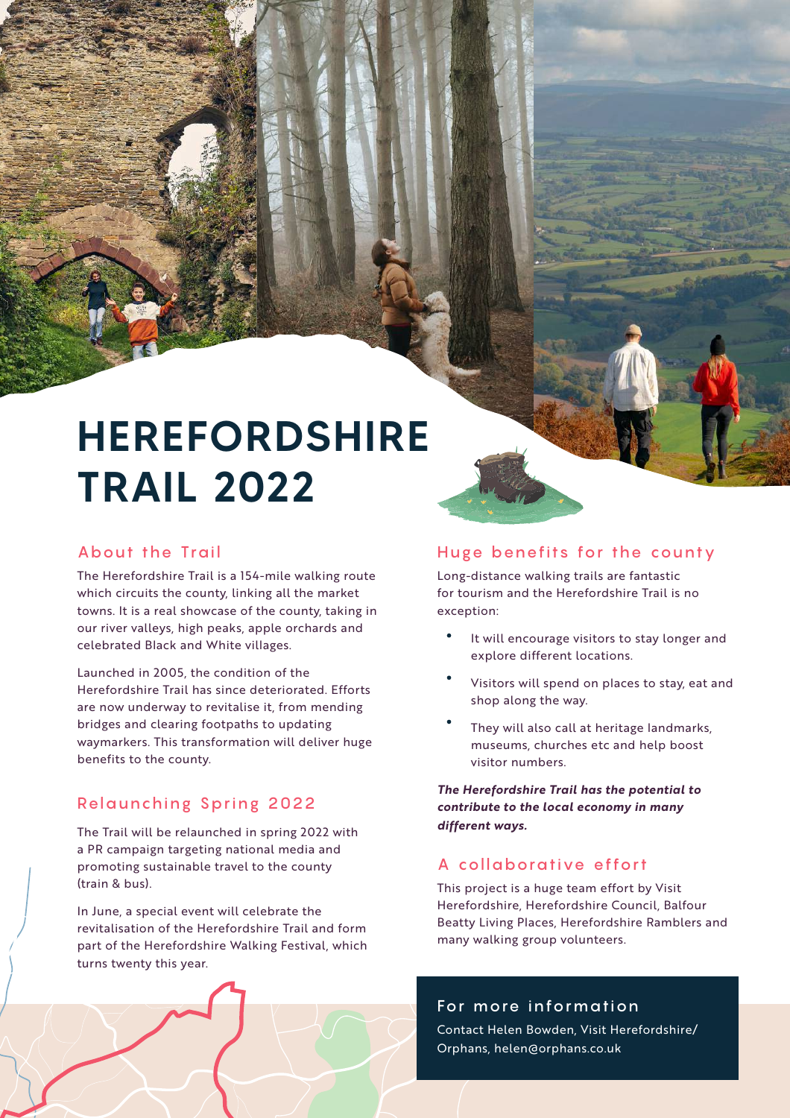# **HEREFORDSHIRE TRAIL 2022**

# About the Trail

The Herefordshire Trail is a 154-mile walking route which circuits the county, linking all the market towns. It is a real showcase of the county, taking in our river valleys, high peaks, apple orchards and celebrated Black and White villages.

Launched in 2005, the condition of the Herefordshire Trail has since deteriorated. Efforts are now underway to revitalise it, from mending bridges and clearing footpaths to updating waymarkers. This transformation will deliver huge benefits to the county.

# Relaunching Spring 2022

The Trail will be relaunched in spring 2022 with a PR campaign targeting national media and promoting sustainable travel to the county (train & bus).

In June, a special event will celebrate the revitalisation of the Herefordshire Trail and form part of the Herefordshire Walking Festival, which turns twenty this year.

### Huge benefits for the county

Long-distance walking trails are fantastic for tourism and the Herefordshire Trail is no exception:

- $\bullet$ It will encourage visitors to stay longer and explore different locations.
- Visitors will spend on places to stay, eat and shop along the way.
- They will also call at heritage landmarks, museums, churches etc and help boost visitor numbers.

*The Herefordshire Trail has the potential to contribute to the local economy in many different ways.* 

## A collaborative effort

This project is a huge team effort by Visit Herefordshire, Herefordshire Council, Balfour Beatty Living Places, Herefordshire Ramblers and many walking group volunteers.

#### For more information

Contact Helen Bowden, Visit Herefordshire/ Orphans, helen@orphans.co.uk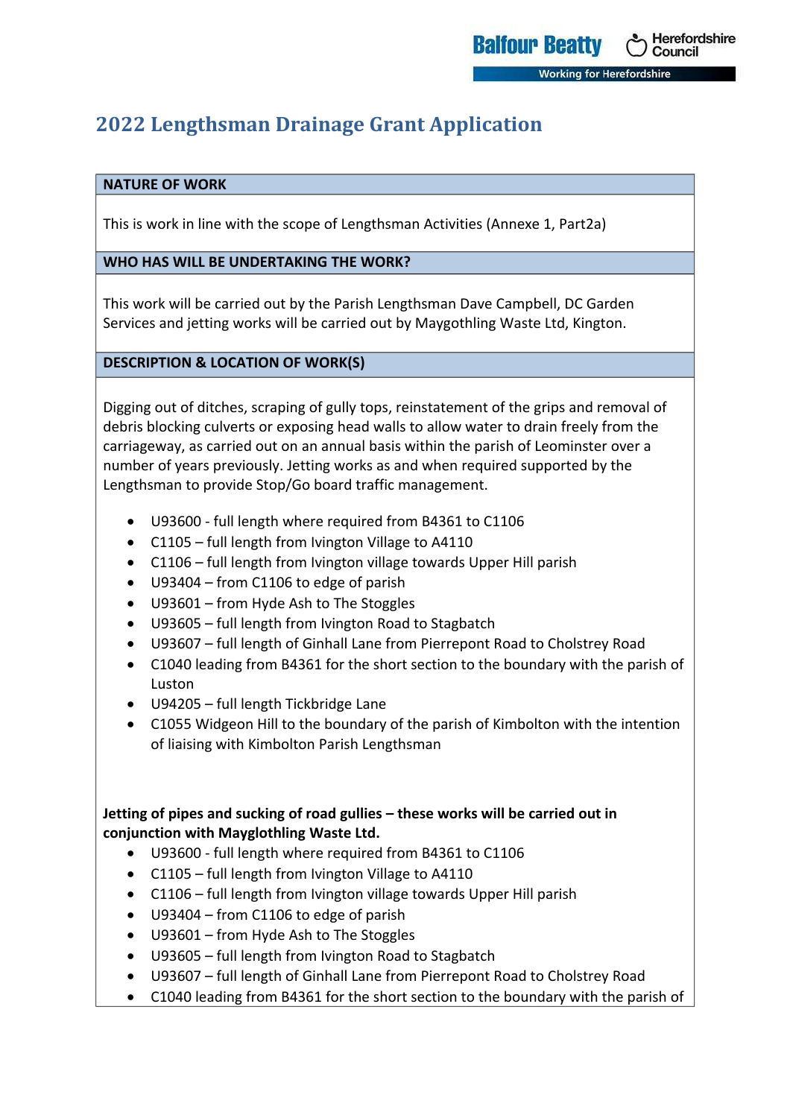# **2022 Lengthsman Drainage Grant Application**

#### **NATURE OF WORK**

This is work in line with the scope of Lengthsman Activities (Annexe 1, Part2a)

Herefordshire

Council

**In King for Herefordshire** 

**Balfour Beatty** 

#### **WHO HAS WILL BE UNDERTAKING THE WORK?**

This work will be carried out by the Parish Lengthsman Dave Campbell, DC Garden Services and jetting works will be carried out by Maygothling Waste Ltd, Kington.

#### **DESCRIPTION & LOCATION OF WORK(S)**

Digging out of ditches, scraping of gully tops, reinstatement of the grips and removal of debris blocking culverts or exposing head walls to allow water to drain freely from the carriageway, as carried out on an annual basis within the parish of Leominster over a number of years previously. Jetting works as and when required supported by the Lengthsman to provide Stop/Go board traffic management.

- U93600 full length where required from B4361 to C1106
- C1105 full length from Ivington Village to A4110
- C1106 full length from Ivington village towards Upper Hill parish
- U93404 from C1106 to edge of parish
- U93601 from Hyde Ash to The Stoggles
- U93605 full length from Ivington Road to Stagbatch
- U93607 full length of Ginhall Lane from Pierrepont Road to Cholstrey Road
- C1040 leading from B4361 for the short section to the boundary with the parish of Luston
- U94205 full length Tickbridge Lane
- C1055 Widgeon Hill to the boundary of the parish of Kimbolton with the intention of liaising with Kimbolton Parish Lengthsman

#### **Jetting of pipes and sucking of road gullies – these works will be carried out in conjunction with Mayglothling Waste Ltd.**

- U93600 full length where required from B4361 to C1106
- C1105 full length from Ivington Village to A4110
- C1106 full length from Ivington village towards Upper Hill parish
- U93404 from C1106 to edge of parish
- U93601 from Hyde Ash to The Stoggles
- U93605 full length from Ivington Road to Stagbatch
- U93607 full length of Ginhall Lane from Pierrepont Road to Cholstrey Road
- C1040 leading from B4361 for the short section to the boundary with the parish of